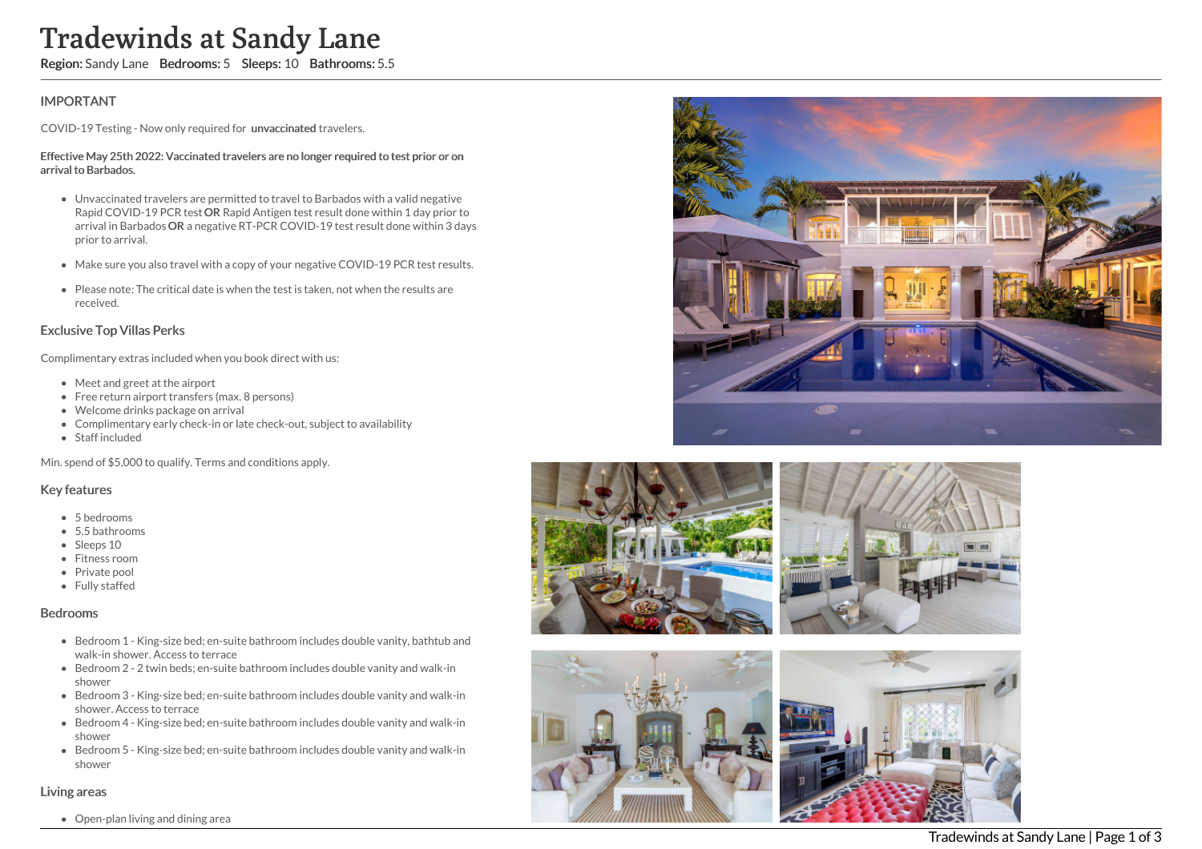# Tradewinds at Sandy Lane

Region: Sandy Lane Bedrooms: 5 Sleeps: 10 Bathrooms: 5.5

# IMPORTANT

COVID-19 Testing - Now only required for unvaccinated travelers.

#### Effective May 25th 2022: Vaccinated travelers are no longer required to test prior or on arrival to Barbados.

- Unvaccinated travelers are permitted to travel to Barbados with a valid negative Rapid COVID-19 PCR test OR Rapid Antigen test result done within 1 day prior to arrival in Barbados OR a negative RT-PCR COVID-19 test result done within 3 days prior to arrival.
- Make sure you also travel with a copy of your negative COVID-19 PCR test results.
- Please note: The critical date is when the test is taken, not when the results are received.

## Exclusive Top Villas Perks

Complimentary extras included when you book direct with us:

- Meet and greet at the airport
- Free return airport transfers (max. 8 persons)
- Welcome drinks package on arrival
- Complimentary early check-in or late check-out, subject to availability
- Staff included

Min. spend of \$5,000 to qualify. Terms and conditions apply.

## Key features

- 5 bedrooms
- 5.5 bathrooms
- Sleeps 10
- Fitness room
- Private pool
- Fully staffed

#### Bedrooms

- Bedroom 1 King-size bed; en-suite bathroom includes double vanity, bathtub and walk-in shower. Access to terrace
- Bedroom 2 2 twin beds; en-suite bathroom includes double vanity and walk-in shower
- Bedroom 3 King-size bed; en-suite bathroom includes double vanity and walk-in shower. Access to terrace
- Bedroom 4 King-size bed; en-suite bathroom includes double vanity and walk-in shower
- Bedroom 5 King-size bed; en-suite bathroom includes double vanity and walk-in shower

## Living areas

Open-plan living and dining area









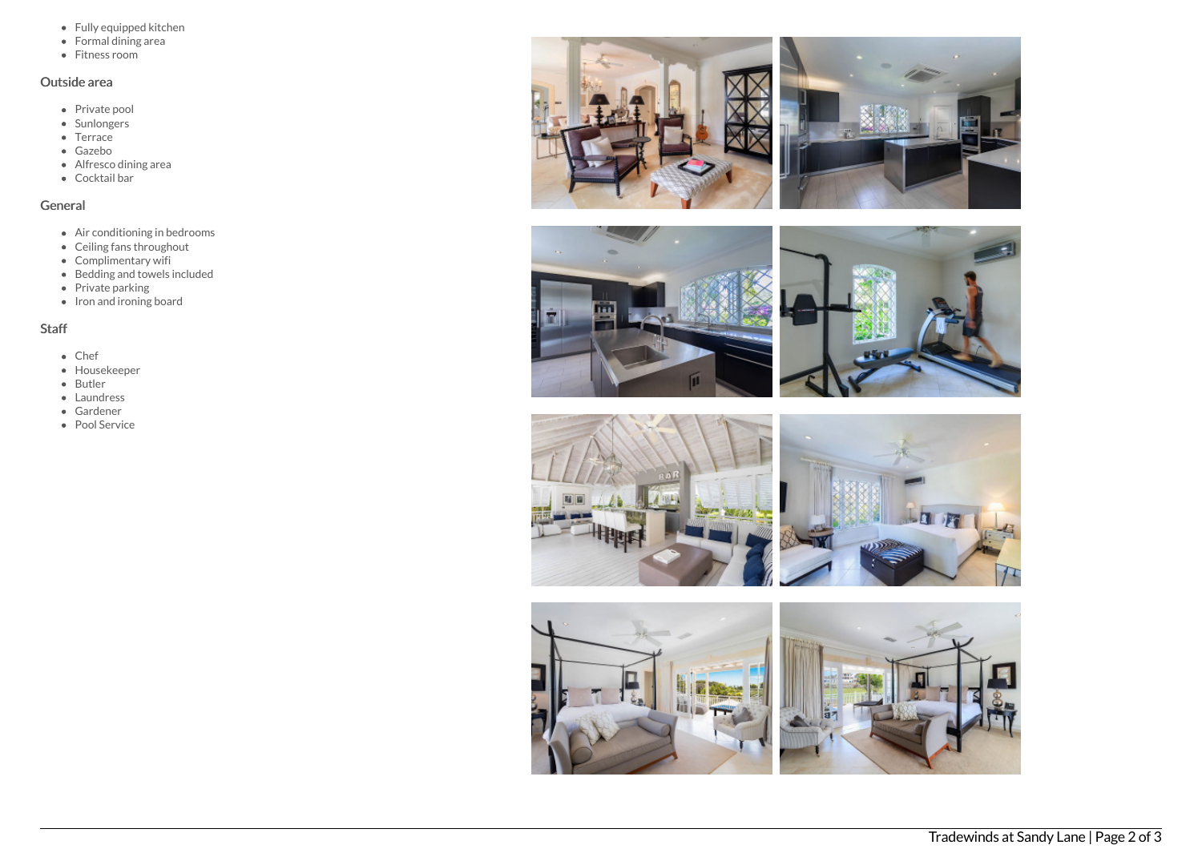- Fully equipped kitchen
- Formal dining area
- Fitness room

# Outside area

- Private pool
- Sunlongers
- Terrace
- Gazebo
- Alfresco dining area
- Cocktail bar

## General

- Air conditioning in bedrooms
- Ceiling fans throughout
- Complimentary wifi
- Bedding and towels included
- Private parking
- $\bullet$  Iron and ironing board

# Staff

- Chef
- Housekeeper
- Butler
- Laundress
- Gardener
- Pool Service